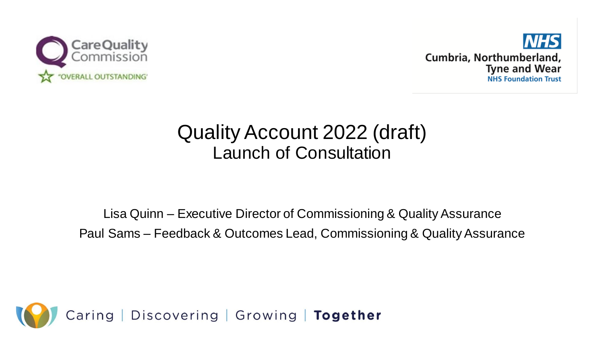



# Quality Account 2022 (draft) Launch of Consultation

Lisa Quinn – Executive Director of Commissioning & Quality Assurance Paul Sams – Feedback & Outcomes Lead, Commissioning & Quality Assurance

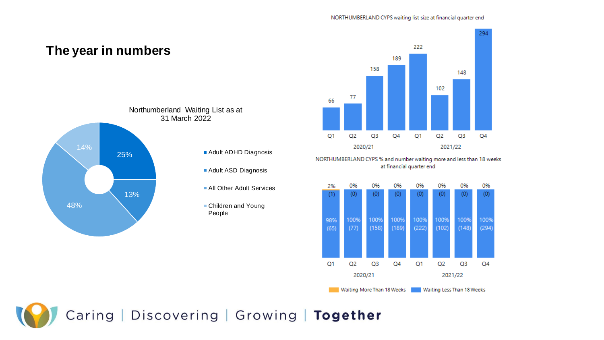#### NORTHUMBERLAND CYPS waiting list size at financial quarter end

294

 $Q<sub>4</sub>$ 

0%

 $(0)$ 

100%

 $(294)$ 

 $Q<sub>4</sub>$ 



Waiting More Than 18 Weeks Waiting Less Than 18 Weeks

 $Q1$ 

 $Q<sub>2</sub>$ 

 $Q<sub>3</sub>$ 

2021/22

 $Q<sub>4</sub>$ 

 $Q1$ 

 $Q<sub>2</sub>$ 

2020/21

 $Q<sub>3</sub>$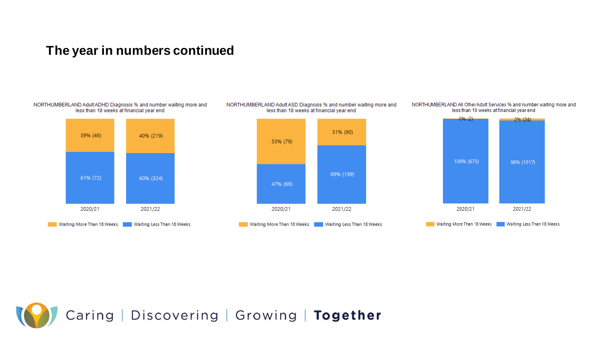### **The year in numbers continued**

#### NORTHUMBERLAND Adult ADHD Diagnosis % and number waiting more and less than 18 weeks at financial year end





#### NORTHUMBERLAND All Other Adult Services % and number waiting more and less than 18 weeks at financial year end



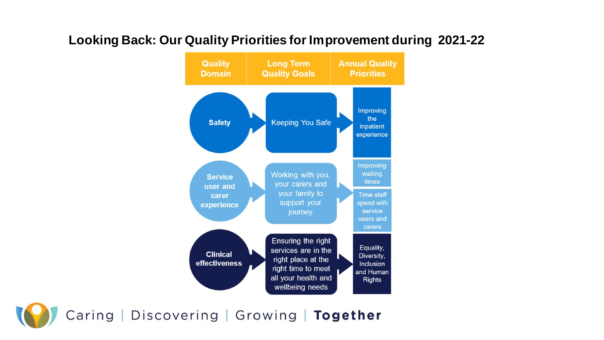

### **Looking Back: Our Quality Priorities for Improvement during 2021-22**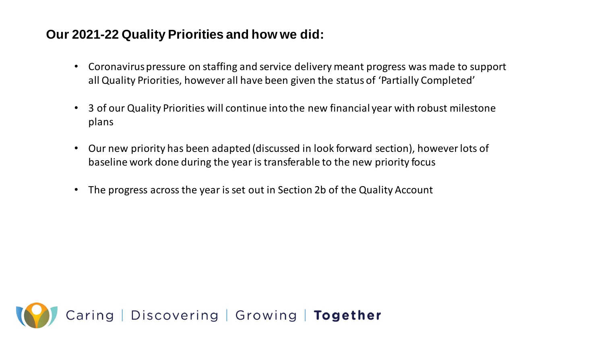## **Our 2021-22 Quality Priorities and how we did:**

- Coronavirus pressure on staffing and service delivery meant progress was made to support all Quality Priorities, however all have been given the status of 'Partially Completed'
- 3 of our Quality Priorities will continue into the new financial year with robust milestone plans
- Our new priority has been adapted (discussed in look forward section), however lots of baseline work done during the year is transferable to the new priority focus
- The progress across the year is set out in Section 2b of the Quality Account

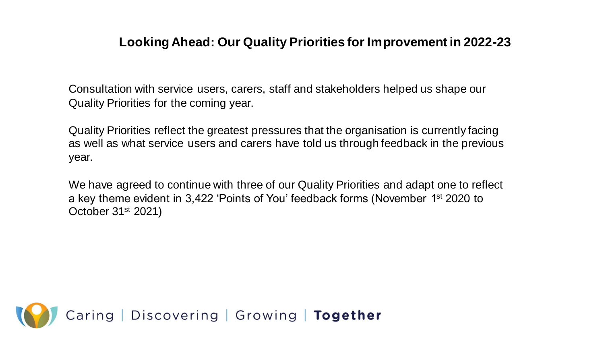### **Looking Ahead: Our Quality Priorities for Improvement in 2022-23**

Consultation with service users, carers, staff and stakeholders helped us shape our Quality Priorities for the coming year.

Quality Priorities reflect the greatest pressures that the organisation is currently facing as well as what service users and carers have told us through feedback in the previous year.

We have agreed to continue with three of our Quality Priorities and adapt one to reflect a key theme evident in 3,422 'Points of You' feedback forms (November 1st 2020 to October 31st 2021)

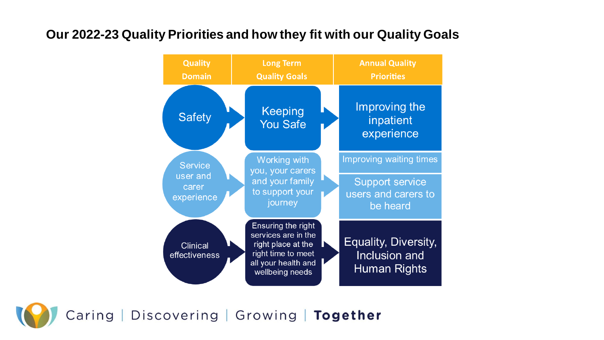## **Our 2022-23 Quality Priorities and how they fit with our Quality Goals**

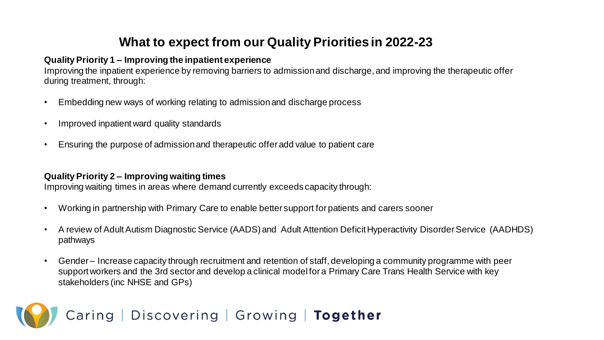# **What to expect from our Quality Priorities in 2022-23**

#### **Quality Priority 1 – Improving the inpatient experience**

Improving the inpatient experience by removing barriers to admission and discharge, and improving the therapeutic offer during treatment, through:

- Embedding new ways of working relating to admission and discharge process
- Improved inpatient ward quality standards
- Ensuring the purpose of admission and therapeutic offer add value to patient care

#### **Quality Priority 2 – Improving waiting times**

Improving waiting times in areas where demand currently exceeds capacity through:

- Working in partnership with Primary Care to enable better support for patients and carers sooner
- A review of Adult Autism Diagnostic Service (AADS) and Adult Attention Deficit Hyperactivity Disorder Service (AADHDS) pathways
- Gender Increase capacity through recruitment and retention of staff, developing a community programme with peer support workers and the 3rd sector and develop a clinical model for a Primary Care Trans Health Service with key stakeholders (inc NHSE and GPs)

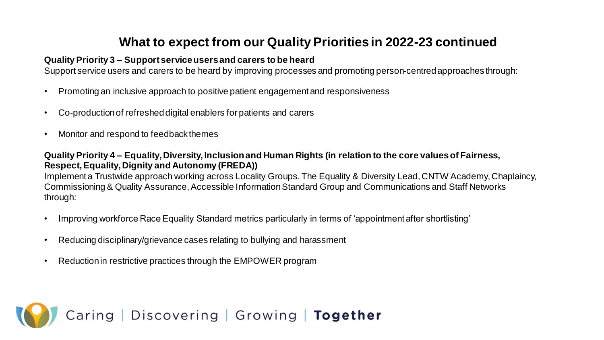# **What to expect from our Quality Priorities in 2022-23 continued**

#### **Quality Priority 3 – Support service users and carers to be heard**

Support service users and carers to be heard by improving processes and promoting person-centred approaches through:

- Promoting an inclusive approach to positive patient engagement and responsiveness
- Co-production of refreshed digital enablers for patients and carers
- Monitor and respond to feedback themes

#### **Quality Priority 4 – Equality, Diversity, Inclusion and Human Rights (in relation to the core values of Fairness, Respect, Equality, Dignity and Autonomy (FREDA))**

Implement a Trustwide approach working across Locality Groups. The Equality & Diversity Lead, CNTW Academy, Chaplaincy, Commissioning & Quality Assurance, Accessible Information Standard Group and Communications and Staff Networks through:

- Improving workforce Race Equality Standard metrics particularly in terms of 'appointment after shortlisting'
- Reducing disciplinary/grievance cases relating to bullying and harassment
- Reduction in restrictive practices through the EMPOWER program